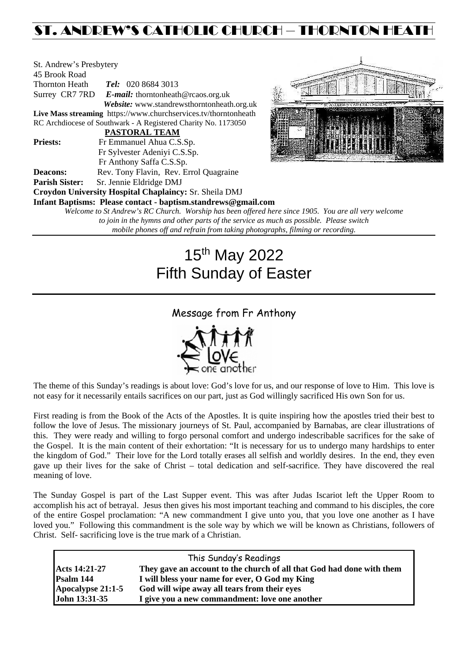## ST. ANDREW'S CATHOLIC CHURCH – THORNTON HEATH

| St. Andrew's Presbytery |                                                                     |  |  |  |
|-------------------------|---------------------------------------------------------------------|--|--|--|
| 45 Brook Road           |                                                                     |  |  |  |
| <b>Thornton Heath</b>   | Tel: 020 8684 3013                                                  |  |  |  |
| Surrey CR7 7RD          | E-mail: thornton heath @ rcaos.org.uk                               |  |  |  |
|                         | Website: www.standrewsthorntonheath.org.uk                          |  |  |  |
|                         | Live Mass streaming https://www.churchservices.tv/thorntonheath     |  |  |  |
|                         | RC Archdiocese of Southwark - A Registered Charity No. 1173050      |  |  |  |
|                         | <b>PASTORAL TEAM</b>                                                |  |  |  |
| <b>Priests:</b>         | Fr Emmanuel Ahua C.S.Sp.                                            |  |  |  |
|                         | Fr Sylvester Adeniyi C.S.Sp.                                        |  |  |  |
|                         | Fr Anthony Saffa C.S.Sp.                                            |  |  |  |
| Deacons:                | Rev. Tony Flavin, Rev. Errol Quagraine                              |  |  |  |
| <b>Parish Sister:</b>   | Sr. Jennie Eldridge DMJ                                             |  |  |  |
|                         | Croydon University Hospital Chaplaincy: Sr. Sheila DMJ              |  |  |  |
|                         | Infant Baptisms: Please contact - baptism.standrews@gmail.com       |  |  |  |
|                         | Welcome to St Andrew's RC Church. Worship has been offered here sin |  |  |  |
|                         | to join in the hypne and other parts of the service as much as      |  |  |  |



*Welcome to St Andrew's RC Church. Worship has been offered here since 1905. You are all very welcome to join in the hymns and other parts of the service as much as possible. Please switch mobile phones off and refrain from taking photographs, filming or recording.*

# 15th May 2022 Fifth Sunday of Easter

### Message from Fr Anthony



The theme of this Sunday's readings is about love: God's love for us, and our response of love to Him. This love is not easy for it necessarily entails sacrifices on our part, just as God willingly sacrificed His own Son for us.

First reading is from the Book of the Acts of the Apostles. It is quite inspiring how the apostles tried their best to follow the love of Jesus. The missionary journeys of St. Paul, accompanied by Barnabas, are clear illustrations of this. They were ready and willing to forgo personal comfort and undergo indescribable sacrifices for the sake of the Gospel. It is the main content of their exhortation: "It is necessary for us to undergo many hardships to enter the kingdom of God." Their love for the Lord totally erases all selfish and worldly desires. In the end, they even gave up their lives for the sake of Christ – total dedication and self-sacrifice. They have discovered the real meaning of love.

The Sunday Gospel is part of the Last Supper event. This was after Judas Iscariot left the Upper Room to accomplish his act of betrayal. Jesus then gives his most important teaching and command to his disciples, the core of the entire Gospel proclamation: "A new commandment I give unto you, that you love one another as I have loved you." Following this commandment is the sole way by which we will be known as Christians, followers of Christ. Self- sacrificing love is the true mark of a Christian.

| This Sunday's Readings |                                                                       |  |  |  |
|------------------------|-----------------------------------------------------------------------|--|--|--|
| Acts 14:21-27          | They gave an account to the church of all that God had done with them |  |  |  |
| Psalm 144              | I will bless your name for ever, O God my King                        |  |  |  |
| Apocalypse 21:1-5      | God will wipe away all tears from their eyes                          |  |  |  |
| John 13:31-35          | I give you a new commandment: love one another                        |  |  |  |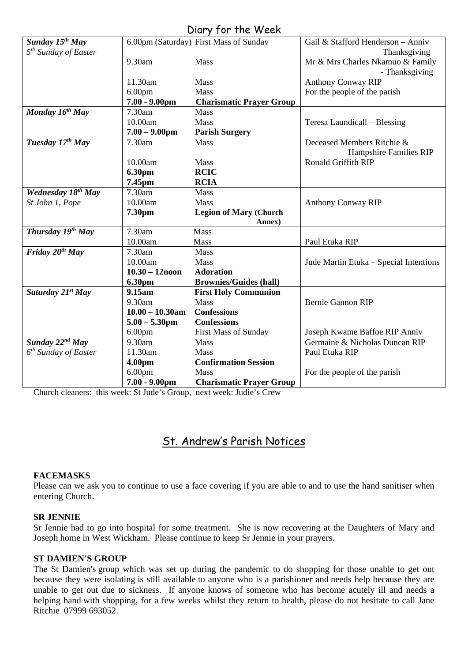| UILLY JUI THE WEEN               |                                        |                                         |                                        |  |  |  |
|----------------------------------|----------------------------------------|-----------------------------------------|----------------------------------------|--|--|--|
| Sunday $15^{th}$ May             |                                        | 6.00pm (Saturday) First Mass of Sunday  | Gail & Stafford Henderson - Anniv      |  |  |  |
| 5 <sup>th</sup> Sunday of Easter |                                        |                                         | Thanksgiving                           |  |  |  |
|                                  | 9.30am                                 | Mass                                    | Mr & Mrs Charles Nkamuo & Family       |  |  |  |
|                                  |                                        |                                         | - Thanksgiving                         |  |  |  |
|                                  | 11.30am                                | Mass                                    | <b>Anthony Conway RIP</b>              |  |  |  |
|                                  | 6.00 <sub>pm</sub>                     | <b>Mass</b>                             | For the people of the parish           |  |  |  |
|                                  | $7.00 - 9.00$ pm                       | <b>Charismatic Prayer Group</b>         |                                        |  |  |  |
| Monday 16 <sup>th</sup> May      | 7.30am                                 | Mass                                    |                                        |  |  |  |
|                                  | 10.00am                                | Mass                                    | Teresa Laundicall – Blessing           |  |  |  |
|                                  | $7.00 - 9.00$ pm                       | <b>Parish Surgery</b>                   |                                        |  |  |  |
| Tuesday 17th May                 | 7.30am                                 | <b>Mass</b>                             | Deceased Members Ritchie &             |  |  |  |
|                                  |                                        |                                         | Hampshire Families RIP                 |  |  |  |
|                                  | 10.00am                                | Mass                                    | <b>Ronald Griffith RIP</b>             |  |  |  |
|                                  | 6.30pm                                 | <b>RCIC</b>                             |                                        |  |  |  |
|                                  | 7.45pm                                 | <b>RCIA</b>                             |                                        |  |  |  |
| Wednesday 18 <sup>th</sup> May   | 7.30am                                 | Mass                                    |                                        |  |  |  |
| St John 1, Pope                  | 10.00am                                | Mass                                    | <b>Anthony Conway RIP</b>              |  |  |  |
|                                  | 7.30pm                                 | <b>Legion of Mary (Church</b>           |                                        |  |  |  |
|                                  |                                        |                                         |                                        |  |  |  |
|                                  |                                        | Annex)                                  |                                        |  |  |  |
| Thursday $19^{th}$ May           | 7.30am                                 | Mass                                    |                                        |  |  |  |
|                                  | 10.00am                                | Mass                                    | Paul Etuka RIP                         |  |  |  |
| Friday $20th$ May                | 7.30am                                 | Mass                                    |                                        |  |  |  |
|                                  | 10.00am                                | Mass                                    | Jude Martin Etuka – Special Intentions |  |  |  |
|                                  | $10.30 - 12$ noon                      | <b>Adoration</b>                        |                                        |  |  |  |
|                                  | 6.30pm                                 | <b>Brownies/Guides (hall)</b>           |                                        |  |  |  |
| Saturday 21 <sup>st</sup> May    | 9.15am                                 | <b>First Holy Communion</b>             |                                        |  |  |  |
|                                  | 9.30am                                 | <b>Mass</b>                             | <b>Bernie Gannon RIP</b>               |  |  |  |
|                                  | $10.00 - 10.30$ am                     | <b>Confessions</b>                      |                                        |  |  |  |
|                                  | $5.00 - 5.30$ pm                       | <b>Confessions</b>                      |                                        |  |  |  |
|                                  | 6.00 <sub>pm</sub>                     | First Mass of Sunday                    | Joseph Kwame Baffoe RIP Anniv          |  |  |  |
| Sunday $22^{nd}$ May             | 9.30am                                 | <b>Mass</b>                             | Germaine & Nicholas Duncan RIP         |  |  |  |
| $6th$ Sunday of Easter           | 11.30am                                | Mass                                    | Paul Etuka RIP                         |  |  |  |
|                                  | 4.00pm                                 | <b>Confirmation Session</b>             |                                        |  |  |  |
|                                  | 6.00 <sub>pm</sub><br>$7.00 - 9.00$ pm | Mass<br><b>Charismatic Prayer Group</b> | For the people of the parish           |  |  |  |

Diary for the Week

Church cleaners: this week: St Jude's Group, next week: Judie's Crew

## St. Andrew's Parish Notices

#### **FACEMASKS**

Please can we ask you to continue to use a face covering if you are able to and to use the hand sanitiser when entering Church.

#### **SR JENNIE**

Sr Jennie had to go into hospital for some treatment. She is now recovering at the Daughters of Mary and Joseph home in West Wickham. Please continue to keep Sr Jennie in your prayers.

#### **ST DAMIEN'S GROUP**

The St Damien's group which was set up during the pandemic to do shopping for those unable to get out because they were isolating is still available to anyone who is a parishioner and needs help because they are unable to get out due to sickness. If anyone knows of someone who has become acutely ill and needs a helping hand with shopping, for a few weeks whilst they return to health, please do not hesitate to call Jane Ritchie 07999 693052.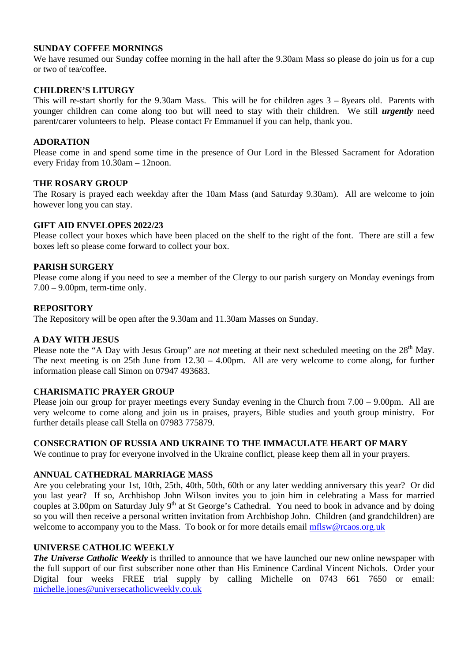#### **SUNDAY COFFEE MORNINGS**

We have resumed our Sunday coffee morning in the hall after the 9.30am Mass so please do join us for a cup or two of tea/coffee.

#### **CHILDREN'S LITURGY**

This will re-start shortly for the 9.30am Mass. This will be for children ages 3 – 8years old. Parents with younger children can come along too but will need to stay with their children. We still *urgently* need parent/carer volunteers to help. Please contact Fr Emmanuel if you can help, thank you.

#### **ADORATION**

Please come in and spend some time in the presence of Our Lord in the Blessed Sacrament for Adoration every Friday from 10.30am – 12noon.

#### **THE ROSARY GROUP**

The Rosary is prayed each weekday after the 10am Mass (and Saturday 9.30am). All are welcome to join however long you can stay.

#### **GIFT AID ENVELOPES 2022/23**

Please collect your boxes which have been placed on the shelf to the right of the font. There are still a few boxes left so please come forward to collect your box.

#### **PARISH SURGERY**

Please come along if you need to see a member of the Clergy to our parish surgery on Monday evenings from 7.00 – 9.00pm, term-time only.

#### **REPOSITORY**

The Repository will be open after the 9.30am and 11.30am Masses on Sunday.

#### **A DAY WITH JESUS**

Please note the "A Day with Jesus Group" are *not* meeting at their next scheduled meeting on the 28<sup>th</sup> May. The next meeting is on 25th June from 12.30 – 4.00pm. All are very welcome to come along, for further information please call Simon on 07947 493683.

#### **CHARISMATIC PRAYER GROUP**

Please join our group for prayer meetings every Sunday evening in the Church from 7.00 – 9.00pm. All are very welcome to come along and join us in praises, prayers, Bible studies and youth group ministry. For further details please call Stella on 07983 775879.

#### **CONSECRATION OF RUSSIA AND UKRAINE TO THE IMMACULATE HEART OF MARY**

We continue to pray for everyone involved in the Ukraine conflict, please keep them all in your prayers.

#### **ANNUAL CATHEDRAL MARRIAGE MASS**

Are you celebrating your 1st, 10th, 25th, 40th, 50th, 60th or any later wedding anniversary this year? Or did you last year? If so, Archbishop John Wilson invites you to join him in celebrating a Mass for married couples at 3.00pm on Saturday July 9<sup>th</sup> at St George's Cathedral. You need to book in advance and by doing so you will then receive a personal written invitation from Archbishop John. Children (and grandchildren) are welcome to accompany you to the Mass. To book or for more details email [mflsw@rcaos.org.uk](mailto:mflsw@rcaos.org.uk)

#### **UNIVERSE CATHOLIC WEEKLY**

*The Universe Catholic Weekly* is thrilled to announce that we have launched our new online newspaper with the full support of our first subscriber none other than His Eminence Cardinal Vincent Nichols. Order your Digital four weeks FREE trial supply by calling Michelle on 0743 661 7650 or email: [michelle.jones@universecatholicweekly.co.uk](mailto:michelle.jones@universecatholicweekly.co.uk)